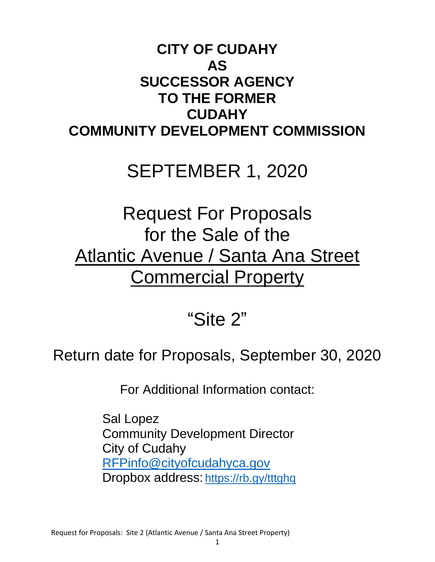# **CITY OF CUDAHY AS SUCCESSOR AGENCY TO THE FORMER CUDAHY COMMUNITY DEVELOPMENT COMMISSION**

# SEPTEMBER 1, 2020

# Request For Proposals for the Sale of the Atlantic Avenue / Santa Ana Street **Commercial Property**

# "Site 2"

# Return date for Proposals, September 30, 2020

For Additional Information contact:

Sal Lopez Community Development Director City of Cudahy [RFPinfo@cityofcudahyca.gov](mailto:RFPinfo@cityofcudahyca.gov) Dropbox address: <https://rb.gy/tttghq>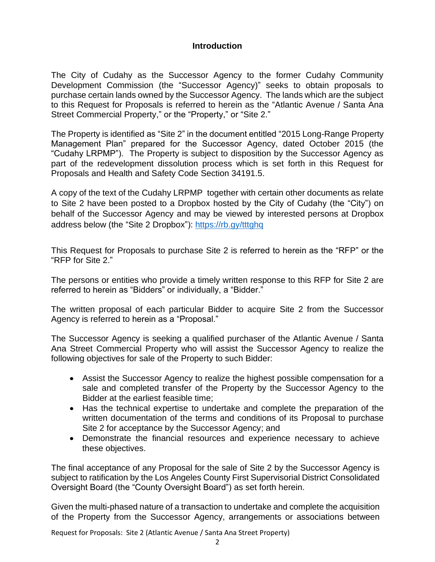#### **Introduction**

The City of Cudahy as the Successor Agency to the former Cudahy Community Development Commission (the "Successor Agency)" seeks to obtain proposals to purchase certain lands owned by the Successor Agency. The lands which are the subject to this Request for Proposals is referred to herein as the "Atlantic Avenue / Santa Ana Street Commercial Property," or the "Property," or "Site 2."

The Property is identified as "Site 2" in the document entitled "2015 Long-Range Property Management Plan" prepared for the Successor Agency, dated October 2015 (the "Cudahy LRPMP"). The Property is subject to disposition by the Successor Agency as part of the redevelopment dissolution process which is set forth in this Request for Proposals and Health and Safety Code Section 34191.5.

A copy of the text of the Cudahy LRPMP together with certain other documents as relate to Site 2 have been posted to a Dropbox hosted by the City of Cudahy (the "City") on behalf of the Successor Agency and may be viewed by interested persons at Dropbox address below (the "Site 2 Dropbox"):<https://rb.gy/tttghq>

This Request for Proposals to purchase Site 2 is referred to herein as the "RFP" or the "RFP for Site 2."

The persons or entities who provide a timely written response to this RFP for Site 2 are referred to herein as "Bidders" or individually, a "Bidder."

The written proposal of each particular Bidder to acquire Site 2 from the Successor Agency is referred to herein as a "Proposal."

The Successor Agency is seeking a qualified purchaser of the Atlantic Avenue / Santa Ana Street Commercial Property who will assist the Successor Agency to realize the following objectives for sale of the Property to such Bidder:

- Assist the Successor Agency to realize the highest possible compensation for a sale and completed transfer of the Property by the Successor Agency to the Bidder at the earliest feasible time;
- Has the technical expertise to undertake and complete the preparation of the written documentation of the terms and conditions of its Proposal to purchase Site 2 for acceptance by the Successor Agency; and
- Demonstrate the financial resources and experience necessary to achieve these objectives.

The final acceptance of any Proposal for the sale of Site 2 by the Successor Agency is subject to ratification by the Los Angeles County First Supervisorial District Consolidated Oversight Board (the "County Oversight Board") as set forth herein.

Given the multi-phased nature of a transaction to undertake and complete the acquisition of the Property from the Successor Agency, arrangements or associations between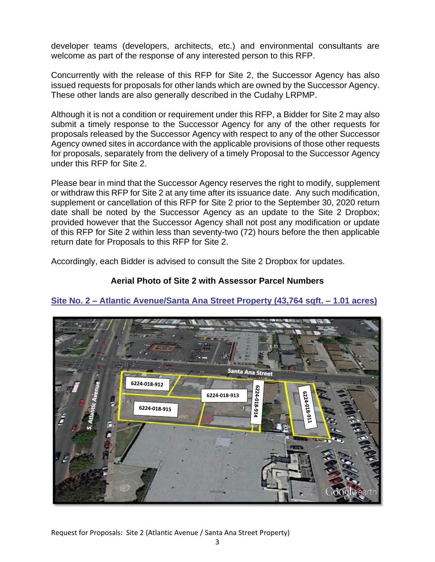developer teams (developers, architects, etc.) and environmental consultants are welcome as part of the response of any interested person to this RFP.

Concurrently with the release of this RFP for Site 2, the Successor Agency has also issued requests for proposals for other lands which are owned by the Successor Agency. These other lands are also generally described in the Cudahy LRPMP.

Although it is not a condition or requirement under this RFP, a Bidder for Site 2 may also submit a timely response to the Successor Agency for any of the other requests for proposals released by the Successor Agency with respect to any of the other Successor Agency owned sites in accordance with the applicable provisions of those other requests for proposals, separately from the delivery of a timely Proposal to the Successor Agency under this RFP for Site 2.

Please bear in mind that the Successor Agency reserves the right to modify, supplement or withdraw this RFP for Site 2 at any time after its issuance date. Any such modification, supplement or cancellation of this RFP for Site 2 prior to the September 30, 2020 return date shall be noted by the Successor Agency as an update to the Site 2 Dropbox; provided however that the Successor Agency shall not post any modification or update of this RFP for Site 2 within less than seventy-two (72) hours before the then applicable return date for Proposals to this RFP for Site 2.

Accordingly, each Bidder is advised to consult the Site 2 Dropbox for updates.

## **Aerial Photo of Site 2 with Assessor Parcel Numbers**



## **Site No. 2 – Atlantic Avenue/Santa Ana Street Property (43,764 sqft. – 1.01 acres)**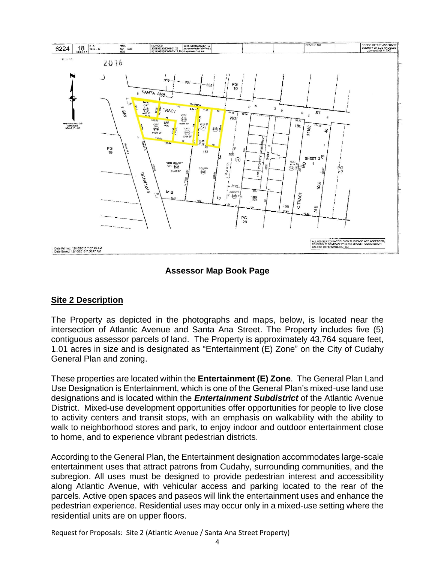

## **Assessor Map Book Page**

#### **Site 2 Description**

The Property as depicted in the photographs and maps, below, is located near the intersection of Atlantic Avenue and Santa Ana Street. The Property includes five (5) contiguous assessor parcels of land. The Property is approximately 43,764 square feet, 1.01 acres in size and is designated as "Entertainment (E) Zone" on the City of Cudahy General Plan and zoning.

These properties are located within the **Entertainment (E) Zone**. The General Plan Land Use Designation is Entertainment, which is one of the General Plan's mixed-use land use designations and is located within the *Entertainment Subdistrict* of the Atlantic Avenue District. Mixed-use development opportunities offer opportunities for people to live close to activity centers and transit stops, with an emphasis on walkability with the ability to walk to neighborhood stores and park, to enjoy indoor and outdoor entertainment close to home, and to experience vibrant pedestrian districts.

According to the General Plan, the Entertainment designation accommodates large-scale entertainment uses that attract patrons from Cudahy, surrounding communities, and the subregion. All uses must be designed to provide pedestrian interest and accessibility along Atlantic Avenue, with vehicular access and parking located to the rear of the parcels. Active open spaces and paseos will link the entertainment uses and enhance the pedestrian experience. Residential uses may occur only in a mixed-use setting where the residential units are on upper floors.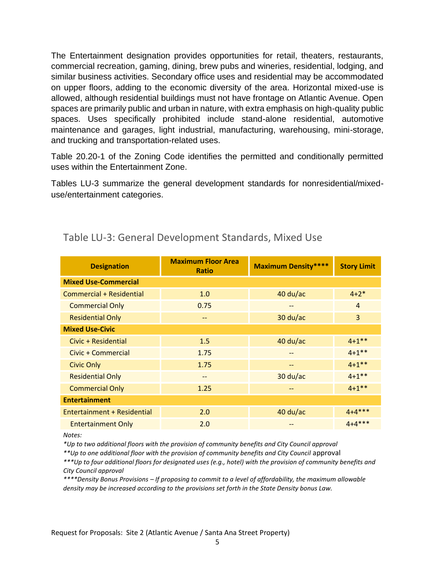The Entertainment designation provides opportunities for retail, theaters, restaurants, commercial recreation, gaming, dining, brew pubs and wineries, residential, lodging, and similar business activities. Secondary office uses and residential may be accommodated on upper floors, adding to the economic diversity of the area. Horizontal mixed-use is allowed, although residential buildings must not have frontage on Atlantic Avenue. Open spaces are primarily public and urban in nature, with extra emphasis on high-quality public spaces. Uses specifically prohibited include stand-alone residential, automotive maintenance and garages, light industrial, manufacturing, warehousing, mini-storage, and trucking and transportation-related uses.

Table 20.20-1 of the Zoning Code identifies the permitted and conditionally permitted uses within the Entertainment Zone.

Tables LU-3 summarize the general development standards for nonresidential/mixeduse/entertainment categories.

| <b>Designation</b>          | <b>Maximum Floor Area</b><br><b>Ratio</b> | <b>Maximum Density****</b> | <b>Story Limit</b> |  |  |
|-----------------------------|-------------------------------------------|----------------------------|--------------------|--|--|
| <b>Mixed Use-Commercial</b> |                                           |                            |                    |  |  |
| Commercial + Residential    | 1.0                                       | $40$ du/ac                 | $4 + 2*$           |  |  |
| <b>Commercial Only</b>      | 0.75                                      | --                         | $\overline{4}$     |  |  |
| <b>Residential Only</b>     |                                           | $30$ du/ac                 | 3                  |  |  |
| <b>Mixed Use-Civic</b>      |                                           |                            |                    |  |  |
| Civic + Residential         | 1.5                                       | $40$ du/ac                 | $4 + 1$ **         |  |  |
| Civic + Commercial          | 1.75                                      | $- -$                      | $4 + 1$ **         |  |  |
| <b>Civic Only</b>           | 1.75                                      | --                         | $4 + 1$ **         |  |  |
| <b>Residential Only</b>     | --                                        | $30$ du/ac                 | $4 + 1$ **         |  |  |
| <b>Commercial Only</b>      | 1.25                                      |                            | $4 + 1$ **         |  |  |
| <b>Entertainment</b>        |                                           |                            |                    |  |  |
| Entertainment + Residential | 2.0                                       | $40$ du/ac                 | $4 + 4$ ***        |  |  |
| <b>Entertainment Only</b>   | 2.0                                       |                            | $4 + 4$ ***        |  |  |

# Table LU-3: General Development Standards, Mixed Use

*Notes:*

*\*Up to two additional floors with the provision of community benefits and City Council approval*

*\*\*Up to one additional floor with the provision of community benefits and City Council* approval

*\*\*\*Up to four additional floors for designated uses (e.g., hotel) with the provision of community benefits and City Council approval*

*\*\*\*\*Density Bonus Provisions – If proposing to commit to a level of affordability, the maximum allowable density may be increased according to the provisions set forth in the State Density bonus Law.*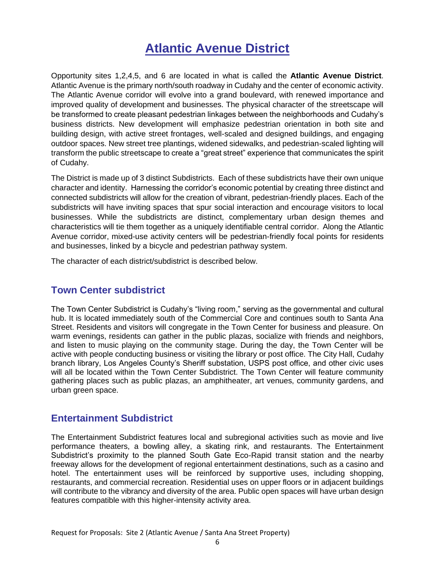# **Atlantic Avenue District**

Opportunity sites 1,2,4,5, and 6 are located in what is called the **Atlantic Avenue District**. Atlantic Avenue is the primary north/south roadway in Cudahy and the center of economic activity. The Atlantic Avenue corridor will evolve into a grand boulevard, with renewed importance and improved quality of development and businesses. The physical character of the streetscape will be transformed to create pleasant pedestrian linkages between the neighborhoods and Cudahy's business districts. New development will emphasize pedestrian orientation in both site and building design, with active street frontages, well-scaled and designed buildings, and engaging outdoor spaces. New street tree plantings, widened sidewalks, and pedestrian-scaled lighting will transform the public streetscape to create a "great street" experience that communicates the spirit of Cudahy.

The District is made up of 3 distinct Subdistricts. Each of these subdistricts have their own unique character and identity. Harnessing the corridor's economic potential by creating three distinct and connected subdistricts will allow for the creation of vibrant, pedestrian-friendly places. Each of the subdistricts will have inviting spaces that spur social interaction and encourage visitors to local businesses. While the subdistricts are distinct, complementary urban design themes and characteristics will tie them together as a uniquely identifiable central corridor. Along the Atlantic Avenue corridor, mixed-use activity centers will be pedestrian-friendly focal points for residents and businesses, linked by a bicycle and pedestrian pathway system.

The character of each district/subdistrict is described below.

# **Town Center subdistrict**

The Town Center Subdistrict is Cudahy's "living room," serving as the governmental and cultural hub. It is located immediately south of the Commercial Core and continues south to Santa Ana Street. Residents and visitors will congregate in the Town Center for business and pleasure. On warm evenings, residents can gather in the public plazas, socialize with friends and neighbors, and listen to music playing on the community stage. During the day, the Town Center will be active with people conducting business or visiting the library or post office. The City Hall, Cudahy branch library, Los Angeles County's Sheriff substation, USPS post office, and other civic uses will all be located within the Town Center Subdistrict. The Town Center will feature community gathering places such as public plazas, an amphitheater, art venues, community gardens, and urban green space.

# **Entertainment Subdistrict**

The Entertainment Subdistrict features local and subregional activities such as movie and live performance theaters, a bowling alley, a skating rink, and restaurants. The Entertainment Subdistrict's proximity to the planned South Gate Eco-Rapid transit station and the nearby freeway allows for the development of regional entertainment destinations, such as a casino and hotel. The entertainment uses will be reinforced by supportive uses, including shopping, restaurants, and commercial recreation. Residential uses on upper floors or in adjacent buildings will contribute to the vibrancy and diversity of the area. Public open spaces will have urban design features compatible with this higher-intensity activity area.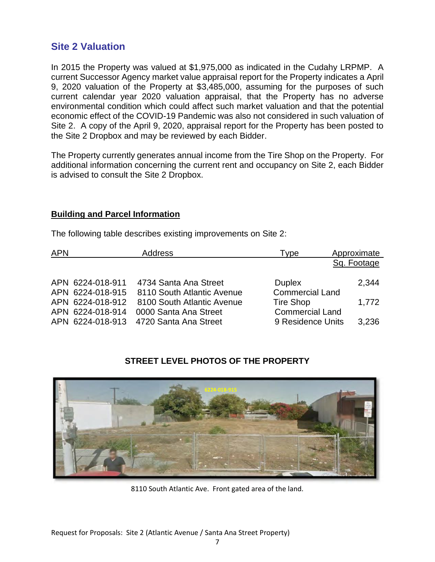# **Site 2 Valuation**

In 2015 the Property was valued at \$1,975,000 as indicated in the Cudahy LRPMP. A current Successor Agency market value appraisal report for the Property indicates a April 9, 2020 valuation of the Property at \$3,485,000, assuming for the purposes of such current calendar year 2020 valuation appraisal, that the Property has no adverse environmental condition which could affect such market valuation and that the potential economic effect of the COVID-19 Pandemic was also not considered in such valuation of Site 2. A copy of the April 9, 2020, appraisal report for the Property has been posted to the Site 2 Dropbox and may be reviewed by each Bidder.

The Property currently generates annual income from the Tire Shop on the Property. For additional information concerning the current rent and occupancy on Site 2, each Bidder is advised to consult the Site 2 Dropbox.

#### **Building and Parcel Information**

The following table describes existing improvements on Site 2:

| <b>APN</b> |                  | <b>Address</b>             | Type                   | Approximate |
|------------|------------------|----------------------------|------------------------|-------------|
|            |                  |                            |                        | Sq. Footage |
|            | APN 6224-018-911 | 4734 Santa Ana Street      | <b>Duplex</b>          | 2,344       |
|            | APN 6224-018-915 | 8110 South Atlantic Avenue | <b>Commercial Land</b> |             |
|            | APN 6224-018-912 | 8100 South Atlantic Avenue | <b>Tire Shop</b>       | 1,772       |
|            | APN 6224-018-914 | 0000 Santa Ana Street      | <b>Commercial Land</b> |             |
|            | APN 6224-018-913 | 4720 Santa Ana Street      | 9 Residence Units      | 3,236       |

# **STREET LEVEL PHOTOS OF THE PROPERTY**



8110 South Atlantic Ave. Front gated area of the land.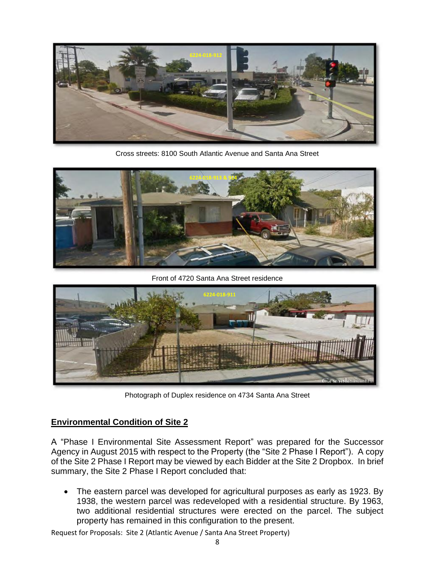

Cross streets: 8100 South Atlantic Avenue and Santa Ana Street



Front of 4720 Santa Ana Street residence



Photograph of Duplex residence on 4734 Santa Ana Street

#### **Environmental Condition of Site 2**

A "Phase I Environmental Site Assessment Report" was prepared for the Successor Agency in August 2015 with respect to the Property (the "Site 2 Phase I Report"). A copy of the Site 2 Phase I Report may be viewed by each Bidder at the Site 2 Dropbox. In brief summary, the Site 2 Phase I Report concluded that:

• The eastern parcel was developed for agricultural purposes as early as 1923. By 1938, the western parcel was redeveloped with a residential structure. By 1963, two additional residential structures were erected on the parcel. The subject property has remained in this configuration to the present.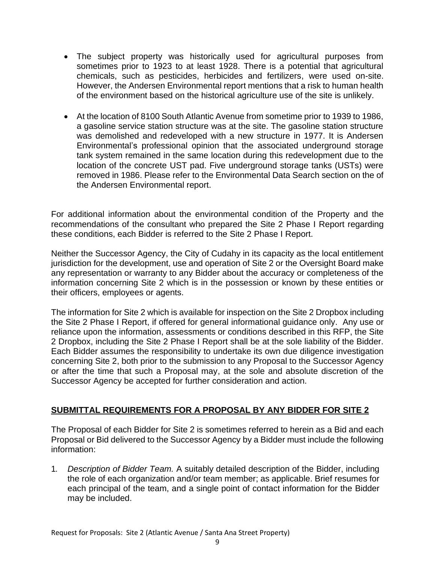- The subject property was historically used for agricultural purposes from sometimes prior to 1923 to at least 1928. There is a potential that agricultural chemicals, such as pesticides, herbicides and fertilizers, were used on-site. However, the Andersen Environmental report mentions that a risk to human health of the environment based on the historical agriculture use of the site is unlikely.
- At the location of 8100 South Atlantic Avenue from sometime prior to 1939 to 1986, a gasoline service station structure was at the site. The gasoline station structure was demolished and redeveloped with a new structure in 1977. It is Andersen Environmental's professional opinion that the associated underground storage tank system remained in the same location during this redevelopment due to the location of the concrete UST pad. Five underground storage tanks (USTs) were removed in 1986. Please refer to the Environmental Data Search section on the of the Andersen Environmental report.

For additional information about the environmental condition of the Property and the recommendations of the consultant who prepared the Site 2 Phase I Report regarding these conditions, each Bidder is referred to the Site 2 Phase I Report.

Neither the Successor Agency, the City of Cudahy in its capacity as the local entitlement jurisdiction for the development, use and operation of Site 2 or the Oversight Board make any representation or warranty to any Bidder about the accuracy or completeness of the information concerning Site 2 which is in the possession or known by these entities or their officers, employees or agents.

The information for Site 2 which is available for inspection on the Site 2 Dropbox including the Site 2 Phase I Report, if offered for general informational guidance only. Any use or reliance upon the information, assessments or conditions described in this RFP, the Site 2 Dropbox, including the Site 2 Phase I Report shall be at the sole liability of the Bidder. Each Bidder assumes the responsibility to undertake its own due diligence investigation concerning Site 2, both prior to the submission to any Proposal to the Successor Agency or after the time that such a Proposal may, at the sole and absolute discretion of the Successor Agency be accepted for further consideration and action.

## **SUBMITTAL REQUIREMENTS FOR A PROPOSAL BY ANY BIDDER FOR SITE 2**

The Proposal of each Bidder for Site 2 is sometimes referred to herein as a Bid and each Proposal or Bid delivered to the Successor Agency by a Bidder must include the following information:

1. *Description of Bidder Team.* A suitably detailed description of the Bidder, including the role of each organization and/or team member; as applicable. Brief resumes for each principal of the team, and a single point of contact information for the Bidder may be included.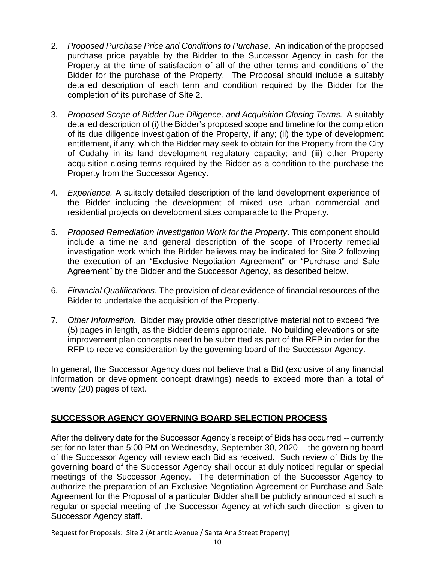- 2. *Proposed Purchase Price and Conditions to Purchase.* An indication of the proposed purchase price payable by the Bidder to the Successor Agency in cash for the Property at the time of satisfaction of all of the other terms and conditions of the Bidder for the purchase of the Property. The Proposal should include a suitably detailed description of each term and condition required by the Bidder for the completion of its purchase of Site 2.
- 3. *Proposed Scope of Bidder Due Diligence, and Acquisition Closing Terms.* A suitably detailed description of (i) the Bidder's proposed scope and timeline for the completion of its due diligence investigation of the Property, if any; (ii) the type of development entitlement, if any, which the Bidder may seek to obtain for the Property from the City of Cudahy in its land development regulatory capacity; and (iii) other Property acquisition closing terms required by the Bidder as a condition to the purchase the Property from the Successor Agency.
- 4. *Experience.* A suitably detailed description of the land development experience of the Bidder including the development of mixed use urban commercial and residential projects on development sites comparable to the Property.
- 5. *Proposed Remediation Investigation Work for the Property*. This component should include a timeline and general description of the scope of Property remedial investigation work which the Bidder believes may be indicated for Site 2 following the execution of an "Exclusive Negotiation Agreement" or "Purchase and Sale Agreement" by the Bidder and the Successor Agency, as described below.
- 6. *Financial Qualifications.* The provision of clear evidence of financial resources of the Bidder to undertake the acquisition of the Property.
- 7. *Other Information.* Bidder may provide other descriptive material not to exceed five (5) pages in length, as the Bidder deems appropriate. No building elevations or site improvement plan concepts need to be submitted as part of the RFP in order for the RFP to receive consideration by the governing board of the Successor Agency.

In general, the Successor Agency does not believe that a Bid (exclusive of any financial information or development concept drawings) needs to exceed more than a total of twenty (20) pages of text.

## **SUCCESSOR AGENCY GOVERNING BOARD SELECTION PROCESS**

After the delivery date for the Successor Agency's receipt of Bids has occurred -- currently set for no later than 5:00 PM on Wednesday, September 30, 2020 -- the governing board of the Successor Agency will review each Bid as received. Such review of Bids by the governing board of the Successor Agency shall occur at duly noticed regular or special meetings of the Successor Agency. The determination of the Successor Agency to authorize the preparation of an Exclusive Negotiation Agreement or Purchase and Sale Agreement for the Proposal of a particular Bidder shall be publicly announced at such a regular or special meeting of the Successor Agency at which such direction is given to Successor Agency staff.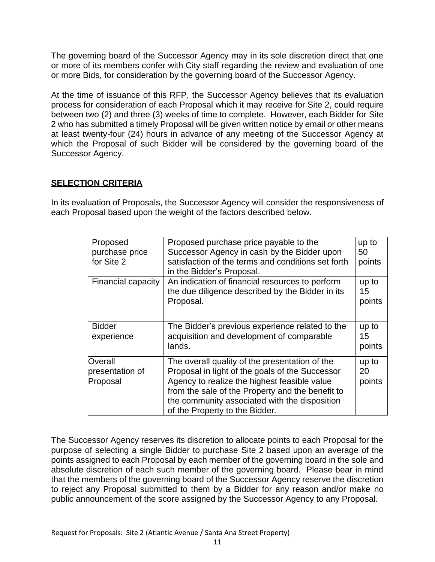The governing board of the Successor Agency may in its sole discretion direct that one or more of its members confer with City staff regarding the review and evaluation of one or more Bids, for consideration by the governing board of the Successor Agency.

At the time of issuance of this RFP, the Successor Agency believes that its evaluation process for consideration of each Proposal which it may receive for Site 2, could require between two (2) and three (3) weeks of time to complete. However, each Bidder for Site 2 who has submitted a timely Proposal will be given written notice by email or other means at least twenty-four (24) hours in advance of any meeting of the Successor Agency at which the Proposal of such Bidder will be considered by the governing board of the Successor Agency.

# **SELECTION CRITERIA**

In its evaluation of Proposals, the Successor Agency will consider the responsiveness of each Proposal based upon the weight of the factors described below.

| Proposed<br>purchase price<br>for Site 2 | Proposed purchase price payable to the<br>Successor Agency in cash by the Bidder upon<br>satisfaction of the terms and conditions set forth<br>in the Bidder's Proposal.                                                                                                                 | up to<br>50<br>points |
|------------------------------------------|------------------------------------------------------------------------------------------------------------------------------------------------------------------------------------------------------------------------------------------------------------------------------------------|-----------------------|
| Financial capacity                       | An indication of financial resources to perform<br>the due diligence described by the Bidder in its<br>Proposal.                                                                                                                                                                         | up to<br>15<br>points |
| <b>Bidder</b><br>experience              | The Bidder's previous experience related to the<br>acquisition and development of comparable<br>lands.                                                                                                                                                                                   | up to<br>15<br>points |
| Overall<br>presentation of<br>Proposal   | The overall quality of the presentation of the<br>Proposal in light of the goals of the Successor<br>Agency to realize the highest feasible value<br>from the sale of the Property and the benefit to<br>the community associated with the disposition<br>of the Property to the Bidder. | up to<br>20<br>points |

The Successor Agency reserves its discretion to allocate points to each Proposal for the purpose of selecting a single Bidder to purchase Site 2 based upon an average of the points assigned to each Proposal by each member of the governing board in the sole and absolute discretion of each such member of the governing board. Please bear in mind that the members of the governing board of the Successor Agency reserve the discretion to reject any Proposal submitted to them by a Bidder for any reason and/or make no public announcement of the score assigned by the Successor Agency to any Proposal.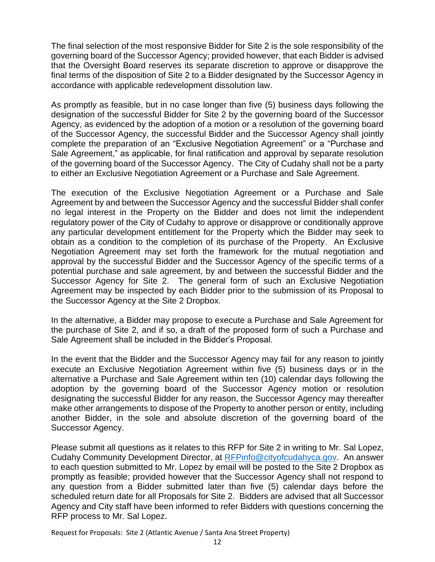The final selection of the most responsive Bidder for Site 2 is the sole responsibility of the governing board of the Successor Agency; provided however, that each Bidder is advised that the Oversight Board reserves its separate discretion to approve or disapprove the final terms of the disposition of Site 2 to a Bidder designated by the Successor Agency in accordance with applicable redevelopment dissolution law.

As promptly as feasible, but in no case longer than five (5) business days following the designation of the successful Bidder for Site 2 by the governing board of the Successor Agency, as evidenced by the adoption of a motion or a resolution of the governing board of the Successor Agency, the successful Bidder and the Successor Agency shall jointly complete the preparation of an "Exclusive Negotiation Agreement" or a "Purchase and Sale Agreement," as applicable, for final ratification and approval by separate resolution of the governing board of the Successor Agency. The City of Cudahy shall not be a party to either an Exclusive Negotiation Agreement or a Purchase and Sale Agreement.

The execution of the Exclusive Negotiation Agreement or a Purchase and Sale Agreement by and between the Successor Agency and the successful Bidder shall confer no legal interest in the Property on the Bidder and does not limit the independent regulatory power of the City of Cudahy to approve or disapprove or conditionally approve any particular development entitlement for the Property which the Bidder may seek to obtain as a condition to the completion of its purchase of the Property. An Exclusive Negotiation Agreement may set forth the framework for the mutual negotiation and approval by the successful Bidder and the Successor Agency of the specific terms of a potential purchase and sale agreement, by and between the successful Bidder and the Successor Agency for Site 2. The general form of such an Exclusive Negotiation Agreement may be inspected by each Bidder prior to the submission of its Proposal to the Successor Agency at the Site 2 Dropbox.

In the alternative, a Bidder may propose to execute a Purchase and Sale Agreement for the purchase of Site 2, and if so, a draft of the proposed form of such a Purchase and Sale Agreement shall be included in the Bidder's Proposal.

In the event that the Bidder and the Successor Agency may fail for any reason to jointly execute an Exclusive Negotiation Agreement within five (5) business days or in the alternative a Purchase and Sale Agreement within ten (10) calendar days following the adoption by the governing board of the Successor Agency motion or resolution designating the successful Bidder for any reason, the Successor Agency may thereafter make other arrangements to dispose of the Property to another person or entity, including another Bidder, in the sole and absolute discretion of the governing board of the Successor Agency.

Please submit all questions as it relates to this RFP for Site 2 in writing to Mr. Sal Lopez, Cudahy Community Development Director, at [RFPinfo@cityofcudahyca.gov.](mailto:RFPinfo@cityofcudahyca.gov) An answer to each question submitted to Mr. Lopez by email will be posted to the Site 2 Dropbox as promptly as feasible; provided however that the Successor Agency shall not respond to any question from a Bidder submitted later than five (5) calendar days before the scheduled return date for all Proposals for Site 2. Bidders are advised that all Successor Agency and City staff have been informed to refer Bidders with questions concerning the RFP process to Mr. Sal Lopez.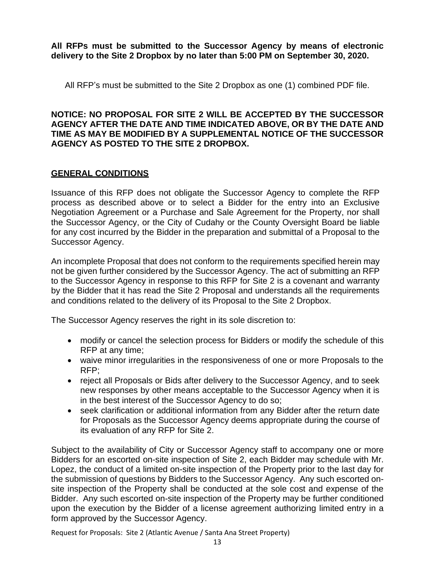**All RFPs must be submitted to the Successor Agency by means of electronic delivery to the Site 2 Dropbox by no later than 5:00 PM on September 30, 2020.**

All RFP's must be submitted to the Site 2 Dropbox as one (1) combined PDF file.

#### **NOTICE: NO PROPOSAL FOR SITE 2 WILL BE ACCEPTED BY THE SUCCESSOR AGENCY AFTER THE DATE AND TIME INDICATED ABOVE, OR BY THE DATE AND TIME AS MAY BE MODIFIED BY A SUPPLEMENTAL NOTICE OF THE SUCCESSOR AGENCY AS POSTED TO THE SITE 2 DROPBOX.**

## **GENERAL CONDITIONS**

Issuance of this RFP does not obligate the Successor Agency to complete the RFP process as described above or to select a Bidder for the entry into an Exclusive Negotiation Agreement or a Purchase and Sale Agreement for the Property, nor shall the Successor Agency, or the City of Cudahy or the County Oversight Board be liable for any cost incurred by the Bidder in the preparation and submittal of a Proposal to the Successor Agency.

An incomplete Proposal that does not conform to the requirements specified herein may not be given further considered by the Successor Agency. The act of submitting an RFP to the Successor Agency in response to this RFP for Site 2 is a covenant and warranty by the Bidder that it has read the Site 2 Proposal and understands all the requirements and conditions related to the delivery of its Proposal to the Site 2 Dropbox.

The Successor Agency reserves the right in its sole discretion to:

- modify or cancel the selection process for Bidders or modify the schedule of this RFP at any time;
- waive minor irregularities in the responsiveness of one or more Proposals to the RFP;
- reject all Proposals or Bids after delivery to the Successor Agency, and to seek new responses by other means acceptable to the Successor Agency when it is in the best interest of the Successor Agency to do so;
- seek clarification or additional information from any Bidder after the return date for Proposals as the Successor Agency deems appropriate during the course of its evaluation of any RFP for Site 2.

Subject to the availability of City or Successor Agency staff to accompany one or more Bidders for an escorted on-site inspection of Site 2, each Bidder may schedule with Mr. Lopez, the conduct of a limited on-site inspection of the Property prior to the last day for the submission of questions by Bidders to the Successor Agency. Any such escorted onsite inspection of the Property shall be conducted at the sole cost and expense of the Bidder. Any such escorted on-site inspection of the Property may be further conditioned upon the execution by the Bidder of a license agreement authorizing limited entry in a form approved by the Successor Agency.